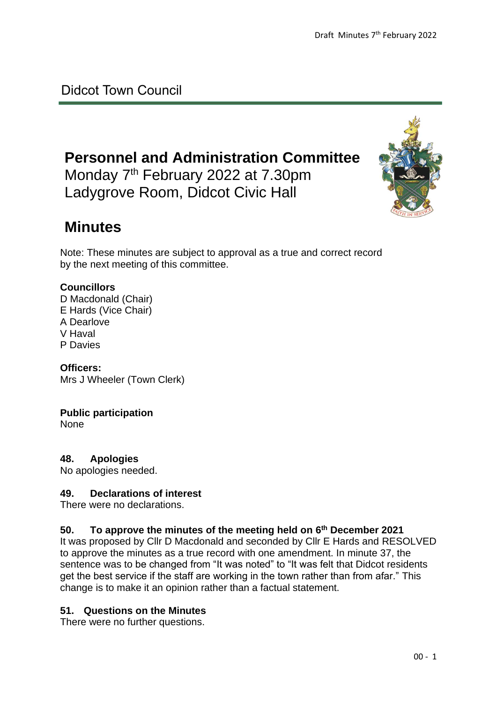## Didcot Town Council

# **Personnel and Administration Committee**

Monday 7<sup>th</sup> February 2022 at 7.30pm Ladygrove Room, Didcot Civic Hall



# **Minutes**

Note: These minutes are subject to approval as a true and correct record by the next meeting of this committee.

### **Councillors**

D Macdonald (Chair) E Hards (Vice Chair) A Dearlove V Haval P Davies

**Officers:** Mrs J Wheeler (Town Clerk)

### **Public participation**

None

**48. Apologies**

No apologies needed.

### **49. Declarations of interest**

There were no declarations.

### **50. To approve the minutes of the meeting held on 6 th December 2021**

It was proposed by Cllr D Macdonald and seconded by Cllr E Hards and RESOLVED to approve the minutes as a true record with one amendment. In minute 37, the sentence was to be changed from "It was noted" to "It was felt that Didcot residents get the best service if the staff are working in the town rather than from afar." This change is to make it an opinion rather than a factual statement.

### **51. Questions on the Minutes**

There were no further questions.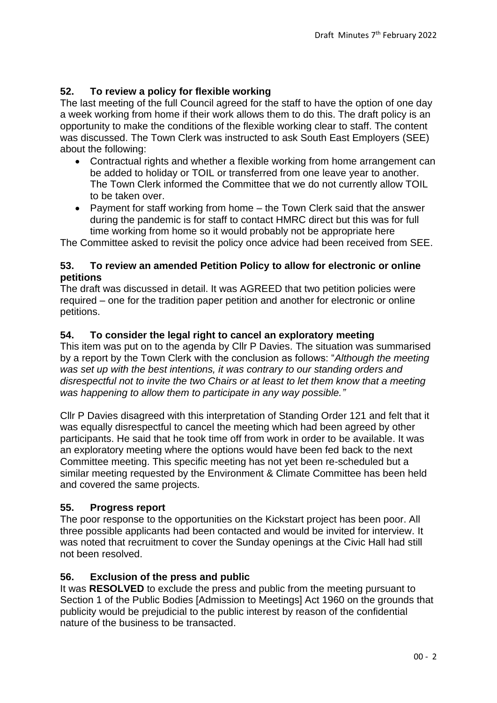## **52. To review a policy for flexible working**

The last meeting of the full Council agreed for the staff to have the option of one day a week working from home if their work allows them to do this. The draft policy is an opportunity to make the conditions of the flexible working clear to staff. The content was discussed. The Town Clerk was instructed to ask South East Employers (SEE) about the following:

- Contractual rights and whether a flexible working from home arrangement can be added to holiday or TOIL or transferred from one leave year to another. The Town Clerk informed the Committee that we do not currently allow TOIL to be taken over.
- Payment for staff working from home the Town Clerk said that the answer during the pandemic is for staff to contact HMRC direct but this was for full time working from home so it would probably not be appropriate here

The Committee asked to revisit the policy once advice had been received from SEE.

#### **53. To review an amended Petition Policy to allow for electronic or online petitions**

The draft was discussed in detail. It was AGREED that two petition policies were required – one for the tradition paper petition and another for electronic or online petitions.

### **54. To consider the legal right to cancel an exploratory meeting**

This item was put on to the agenda by Cllr P Davies. The situation was summarised by a report by the Town Clerk with the conclusion as follows: "*Although the meeting was set up with the best intentions, it was contrary to our standing orders and disrespectful not to invite the two Chairs or at least to let them know that a meeting was happening to allow them to participate in any way possible."*

Cllr P Davies disagreed with this interpretation of Standing Order 121 and felt that it was equally disrespectful to cancel the meeting which had been agreed by other participants. He said that he took time off from work in order to be available. It was an exploratory meeting where the options would have been fed back to the next Committee meeting. This specific meeting has not yet been re-scheduled but a similar meeting requested by the Environment & Climate Committee has been held and covered the same projects.

### **55. Progress report**

The poor response to the opportunities on the Kickstart project has been poor. All three possible applicants had been contacted and would be invited for interview. It was noted that recruitment to cover the Sunday openings at the Civic Hall had still not been resolved.

### **56. Exclusion of the press and public**

It was **RESOLVED** to exclude the press and public from the meeting pursuant to Section 1 of the Public Bodies [Admission to Meetings] Act 1960 on the grounds that publicity would be prejudicial to the public interest by reason of the confidential nature of the business to be transacted.